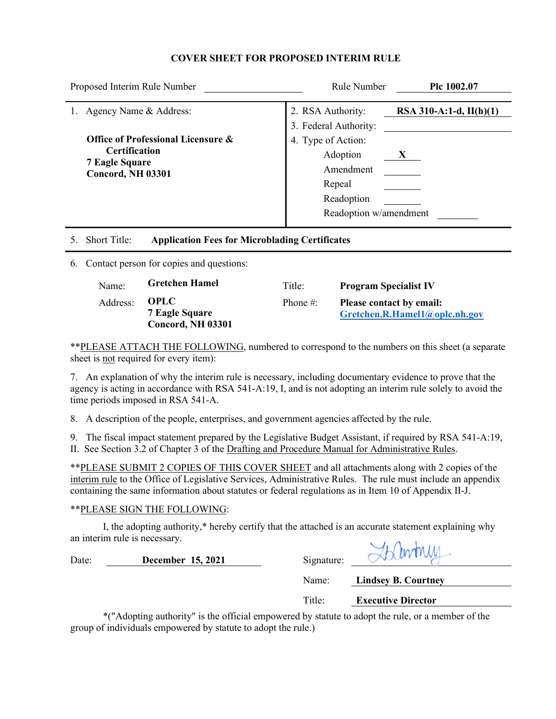### **COVER SHEET FOR PROPOSED INTERIM RULE**

| Proposed Interim Rule Number                                                                                        | Rule Number                                                                                   | Plc 1002.07               |
|---------------------------------------------------------------------------------------------------------------------|-----------------------------------------------------------------------------------------------|---------------------------|
| Agency Name & Address:                                                                                              | 2. RSA Authority:<br>3. Federal Authority:                                                    | RSA 310-A:1-d, $II(h)(1)$ |
| <b>Office of Professional Licensure &amp;</b><br><b>Certification</b><br><b>7 Eagle Square</b><br>Concord, NH 03301 | 4. Type of Action:<br>Adoption<br>Amendment<br>Repeal<br>Readoption<br>Readoption w/amendment | X                         |
| <b>Short Title:</b><br><b>Application Fees for Microblading Certificates</b>                                        |                                                                                               |                           |

6. Contact person for copies and questions:

| Name:    | <b>Gretchen Hamel</b>                              | Title:       | <b>Program Specialist IV</b>                                     |
|----------|----------------------------------------------------|--------------|------------------------------------------------------------------|
| Address: | OPLC<br><b>7 Eagle Square</b><br>Concord, NH 03301 | Phone $\#$ : | <b>Please contact by email:</b><br>Gretchen.R.Hamel1@oplc.nh.gov |

\*\*PLEASE ATTACH THE FOLLOWING, numbered to correspond to the numbers on this sheet (a separate sheet is not required for every item):

7. An explanation of why the interim rule is necessary, including documentary evidence to prove that the agency is acting in accordance with RSA 541-A:19, I, and is not adopting an interim rule solely to avoid the time periods imposed in RSA 541-A.

8. A description of the people, enterprises, and government agencies affected by the rule.

9. The fiscal impact statement prepared by the Legislative Budget Assistant, if required by RSA 541-A:19, II. See Section 3.2 of Chapter 3 of the Drafting and Procedure Manual for Administrative Rules.

\*\*PLEASE SUBMIT 2 COPIES OF THIS COVER SHEET and all attachments along with 2 copies of the interim rule to the Office of Legislative Services, Administrative Rules. The rule must include an appendix containing the same information about statutes or federal regulations as in Item 10 of Appendix II-J.

# \*\*PLEASE SIGN THE FOLLOWING:

 I, the adopting authority,\* hereby certify that the attached is an accurate statement explaining why an interim rule is necessary.

|            | H intru |
|------------|---------|
| Signature: |         |

Title: **Executive Director**

Name: **Lindsey B. Courtney**

 \*("Adopting authority" is the official empowered by statute to adopt the rule, or a member of the group of individuals empowered by statute to adopt the rule.)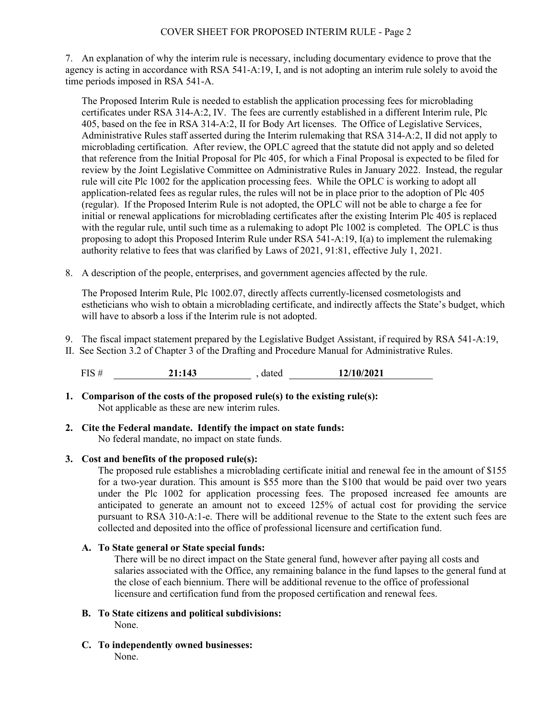7. An explanation of why the interim rule is necessary, including documentary evidence to prove that the agency is acting in accordance with RSA 541-A:19, I, and is not adopting an interim rule solely to avoid the time periods imposed in RSA 541-A.

The Proposed Interim Rule is needed to establish the application processing fees for microblading certificates under RSA 314-A:2, IV. The fees are currently established in a different Interim rule, Plc 405, based on the fee in RSA 314-A:2, II for Body Art licenses. The Office of Legislative Services, Administrative Rules staff asserted during the Interim rulemaking that RSA 314-A:2, II did not apply to microblading certification. After review, the OPLC agreed that the statute did not apply and so deleted that reference from the Initial Proposal for Plc 405, for which a Final Proposal is expected to be filed for review by the Joint Legislative Committee on Administrative Rules in January 2022. Instead, the regular rule will cite Plc 1002 for the application processing fees. While the OPLC is working to adopt all application-related fees as regular rules, the rules will not be in place prior to the adoption of Plc 405 (regular). If the Proposed Interim Rule is not adopted, the OPLC will not be able to charge a fee for initial or renewal applications for microblading certificates after the existing Interim Plc 405 is replaced with the regular rule, until such time as a rulemaking to adopt Plc 1002 is completed. The OPLC is thus proposing to adopt this Proposed Interim Rule under RSA 541-A:19, I(a) to implement the rulemaking authority relative to fees that was clarified by Laws of 2021, 91:81, effective July 1, 2021.

8. A description of the people, enterprises, and government agencies affected by the rule.

The Proposed Interim Rule, Plc 1002.07, directly affects currently-licensed cosmetologists and estheticians who wish to obtain a microblading certificate, and indirectly affects the State's budget, which will have to absorb a loss if the Interim rule is not adopted.

9. The fiscal impact statement prepared by the Legislative Budget Assistant, if required by RSA 541-A:19,

II. See Section 3.2 of Chapter 3 of the Drafting and Procedure Manual for Administrative Rules.

FIS # **21:143** , dated **12/10/2021**

- **1. Comparison of the costs of the proposed rule(s) to the existing rule(s):** Not applicable as these are new interim rules.
- **2. Cite the Federal mandate. Identify the impact on state funds:** No federal mandate, no impact on state funds.

# **3. Cost and benefits of the proposed rule(s):**

The proposed rule establishes a microblading certificate initial and renewal fee in the amount of \$155 for a two-year duration. This amount is \$55 more than the \$100 that would be paid over two years under the Plc 1002 for application processing fees. The proposed increased fee amounts are anticipated to generate an amount not to exceed 125% of actual cost for providing the service pursuant to RSA 310-A:1-e. There will be additional revenue to the State to the extent such fees are collected and deposited into the office of professional licensure and certification fund.

# **A. To State general or State special funds:**

There will be no direct impact on the State general fund, however after paying all costs and salaries associated with the Office, any remaining balance in the fund lapses to the general fund at the close of each biennium. There will be additional revenue to the office of professional licensure and certification fund from the proposed certification and renewal fees.

- **B. To State citizens and political subdivisions:** None.
- **C. To independently owned businesses:** None.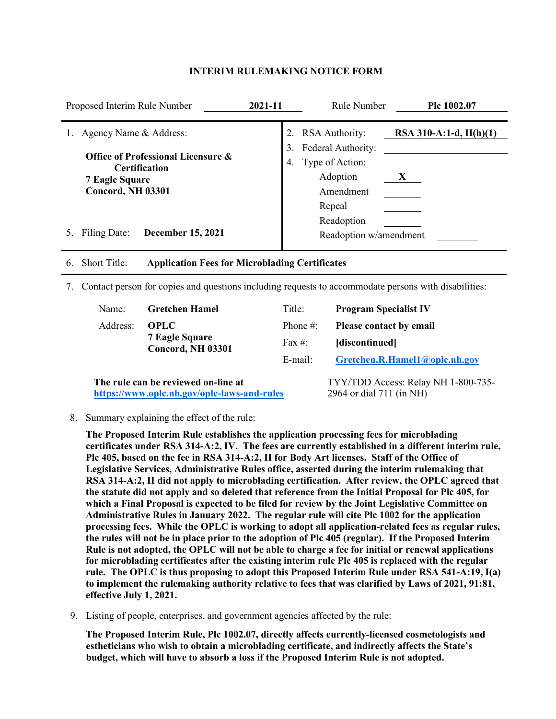| Proposed Interim Rule Number                                                                                                | 2021-11  | Rule Number                                                                                       | Plc 1002.07                    |
|-----------------------------------------------------------------------------------------------------------------------------|----------|---------------------------------------------------------------------------------------------------|--------------------------------|
| Agency Name & Address:<br>Office of Professional Licensure &<br>Certification<br><b>7 Eagle Square</b><br>Concord, NH 03301 | 3.<br>4. | <b>RSA</b> Authority:<br>Federal Authority:<br>Type of Action:<br>Adoption<br>Amendment<br>Repeal | RSA 310-A:1-d, $II(h)(1)$<br>X |
| Filing Date:<br><b>December 15, 2021</b>                                                                                    |          | Readoption<br>Readoption w/amendment                                                              |                                |
| <b>Short Title:</b><br><b>Application Fees for Microblading Certificates</b><br>6.                                          |          |                                                                                                   |                                |

#### **INTERIM RULEMAKING NOTICE FORM**

7. Contact person for copies and questions including requests to accommodate persons with disabilities:

| Name:    | <b>Gretchen Hamel</b>                      | Title:                        | <b>Program Specialist IV</b>       |
|----------|--------------------------------------------|-------------------------------|------------------------------------|
| Address: | <b>OPLC</b>                                | Phone $\#$ :                  | <b>Please contact by email</b>     |
|          | <b>7 Eagle Square</b><br>Concord, NH 03301 | Fax #:                        | [discontinued]                     |
|          | E-mail:                                    | Gretchen.R.Hamel1@oplc.nh.gov |                                    |
|          | The rule can be reviewed on-line at        |                               | TYY/TDD Access: Relay NH 1-800-735 |

**<https://www.oplc.nh.gov/oplc-laws-and-rules>**

TYY/TDD Access: Relay NH 1-800-735- 2964 or dial 711 (in NH)

8. Summary explaining the effect of the rule:

**The Proposed Interim Rule establishes the application processing fees for microblading certificates under RSA 314-A:2, IV. The fees are currently established in a different interim rule, Plc 405, based on the fee in RSA 314-A:2, II for Body Art licenses. Staff of the Office of Legislative Services, Administrative Rules office, asserted during the interim rulemaking that RSA 314-A:2, II did not apply to microblading certification. After review, the OPLC agreed that the statute did not apply and so deleted that reference from the Initial Proposal for Plc 405, for which a Final Proposal is expected to be filed for review by the Joint Legislative Committee on Administrative Rules in January 2022. The regular rule will cite Plc 1002 for the application processing fees. While the OPLC is working to adopt all application-related fees as regular rules, the rules will not be in place prior to the adoption of Plc 405 (regular). If the Proposed Interim Rule is not adopted, the OPLC will not be able to charge a fee for initial or renewal applications for microblading certificates after the existing interim rule Plc 405 is replaced with the regular rule. The OPLC is thus proposing to adopt this Proposed Interim Rule under RSA 541-A:19, I(a) to implement the rulemaking authority relative to fees that was clarified by Laws of 2021, 91:81, effective July 1, 2021.** 

9. Listing of people, enterprises, and government agencies affected by the rule:

**The Proposed Interim Rule, Plc 1002.07, directly affects currently-licensed cosmetologists and estheticians who wish to obtain a microblading certificate, and indirectly affects the State's budget, which will have to absorb a loss if the Proposed Interim Rule is not adopted.**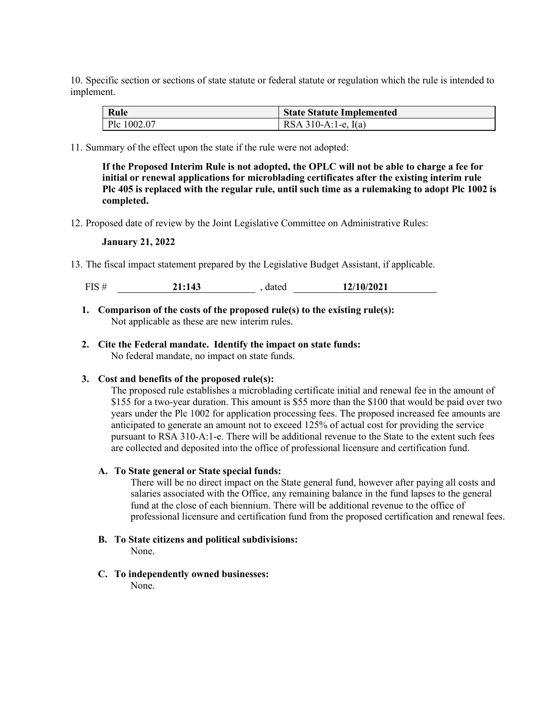10. Specific section or sections of state statute or federal statute or regulation which the rule is intended to implement.

| Rule        | <b>State Statute Implemented</b> |
|-------------|----------------------------------|
| Plc 1002.07 | RSA 310-A:1-e, $I(a)$            |

11. Summary of the effect upon the state if the rule were not adopted:

**If the Proposed Interim Rule is not adopted, the OPLC will not be able to charge a fee for initial or renewal applications for microblading certificates after the existing interim rule Plc 405 is replaced with the regular rule, until such time as a rulemaking to adopt Plc 1002 is completed.**

12. Proposed date of review by the Joint Legislative Committee on Administrative Rules:

#### **January 21, 2022**

13. The fiscal impact statement prepared by the Legislative Budget Assistant, if applicable.

| 12/10/2021<br><b>TIC</b><br>-1:143<br>dated<br>LO.<br>______ |  |
|--------------------------------------------------------------|--|
|--------------------------------------------------------------|--|

- **1. Comparison of the costs of the proposed rule(s) to the existing rule(s):** Not applicable as these are new interim rules.
- **2. Cite the Federal mandate. Identify the impact on state funds:** No federal mandate, no impact on state funds.

#### **3. Cost and benefits of the proposed rule(s):**

The proposed rule establishes a microblading certificate initial and renewal fee in the amount of \$155 for a two-year duration. This amount is \$55 more than the \$100 that would be paid over two years under the Plc 1002 for application processing fees. The proposed increased fee amounts are anticipated to generate an amount not to exceed 125% of actual cost for providing the service pursuant to RSA 310-A:1-e. There will be additional revenue to the State to the extent such fees are collected and deposited into the office of professional licensure and certification fund.

#### **A. To State general or State special funds:**

There will be no direct impact on the State general fund, however after paying all costs and salaries associated with the Office, any remaining balance in the fund lapses to the general fund at the close of each biennium. There will be additional revenue to the office of professional licensure and certification fund from the proposed certification and renewal fees.

**B. To State citizens and political subdivisions:**

None.

**C. To independently owned businesses:**

None.